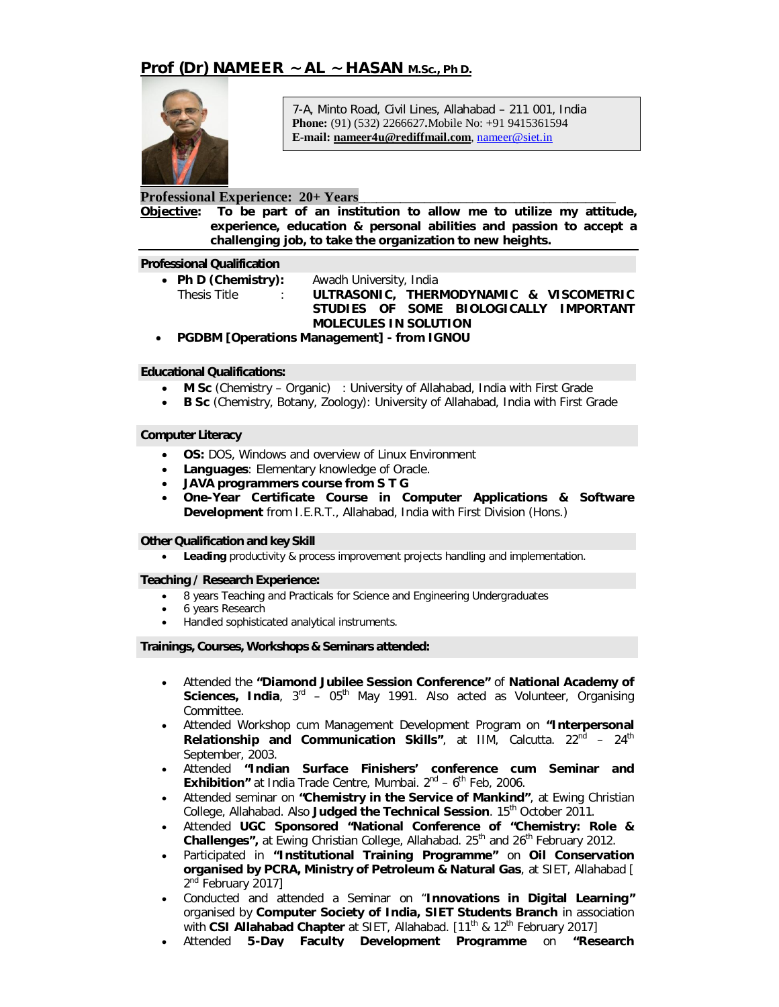

7-A, Minto Road, Civil Lines, Allahabad – 211 001, India **Phone:** (91) (532) 2266627**.**Mobile No: +91 9415361594 **E-mail: nameer4u@rediffmail.com**, nameer@siet.in

# **Professional Experience: 20+ Years**\_\_\_\_\_\_\_\_\_\_\_\_\_\_\_\_\_\_\_\_\_\_\_\_\_\_\_\_\_\_\_\_\_\_\_\_\_\_\_\_\_\_\_

**Objective: To be part of an institution to allow me to utilize my attitude, experience, education & personal abilities and passion to accept a challenging job, to take the organization to new heights.**

### **Professional Qualification**

**Ph D (Chemistry):** Awadh University, India

 Thesis Title : **ULTRASONIC, THERMODYNAMIC & VISCOMETRIC STUDIES OF SOME BIOLOGICALLY IMPORTANT MOLECULES IN SOLUTION**

**PGDBM [Operations Management] - from IGNOU**

## **Educational Qualifications:**

- **M Sc** (Chemistry Organic) : University of Allahabad, India with First Grade
- **B Sc** (Chemistry, Botany, Zoology): University of Allahabad, India with First Grade

## **Computer Literacy**

- **OS:** DOS, Windows and overview of Linux Environment
- **Languages**: Elementary knowledge of Oracle.
- **JAVA programmers course from S T G**
- **One-Year Certificate Course in Computer Applications & Software Development** from I.E.R.T., Allahabad, India with First Division (Hons.)

## **Other Qualification and key Skill**

**Leading** productivity & process improvement projects handling and implementation.

## **Teaching / Research Experience:**

- 8 years Teaching and Practicals for Science and Engineering Undergraduates
- 6 years Research
- Handled sophisticated analytical instruments.

### **Trainings, Courses, Workshops & Seminars attended:**

- Attended the **"Diamond Jubilee Session Conference"** of **National Academy of**  Sciences, India, 3<sup>rd</sup> – 05<sup>th</sup> May 1991. Also acted as Volunteer, Organising Committee.
- Attended Workshop cum Management Development Program on **"Interpersonal**  Relationship and Communication Skills", at IIM, Calcutta. 22<sup>nd</sup> - 24<sup>th</sup> September, 2003.
- Attended **"Indian Surface Finishers' conference cum Seminar and Exhibition"** at India Trade Centre, Mumbai. 2<sup>nd</sup> - 6<sup>th</sup> Feb, 2006.
- Attended seminar on **"Chemistry in the Service of Mankind"**, at Ewing Christian College, Allahabad. Also Judged the Technical Session. 15<sup>th</sup> October 2011.
- Attended **UGC Sponsored "National Conference of "Chemistry: Role & Challenges",** at Ewing Christian College, Allahabad. 25<sup>th</sup> and 26<sup>th</sup> February 2012.
- Participated in **"Institutional Training Programme"** on **Oil Conservation organised by PCRA, Ministry of Petroleum & Natural Gas**, at SIET, Allahabad [ 2<sup>nd</sup> February 2017]
- Conducted and attended a Seminar on "**Innovations in Digital Learning"** organised by **Computer Society of India, SIET Students Branch** in association with **CSI Allahabad Chapter** at SIET, Allahabad. [11<sup>th</sup> & 12<sup>th</sup> February 2017]
- Attended **5-Day Faculty Development Programme** on **"Research**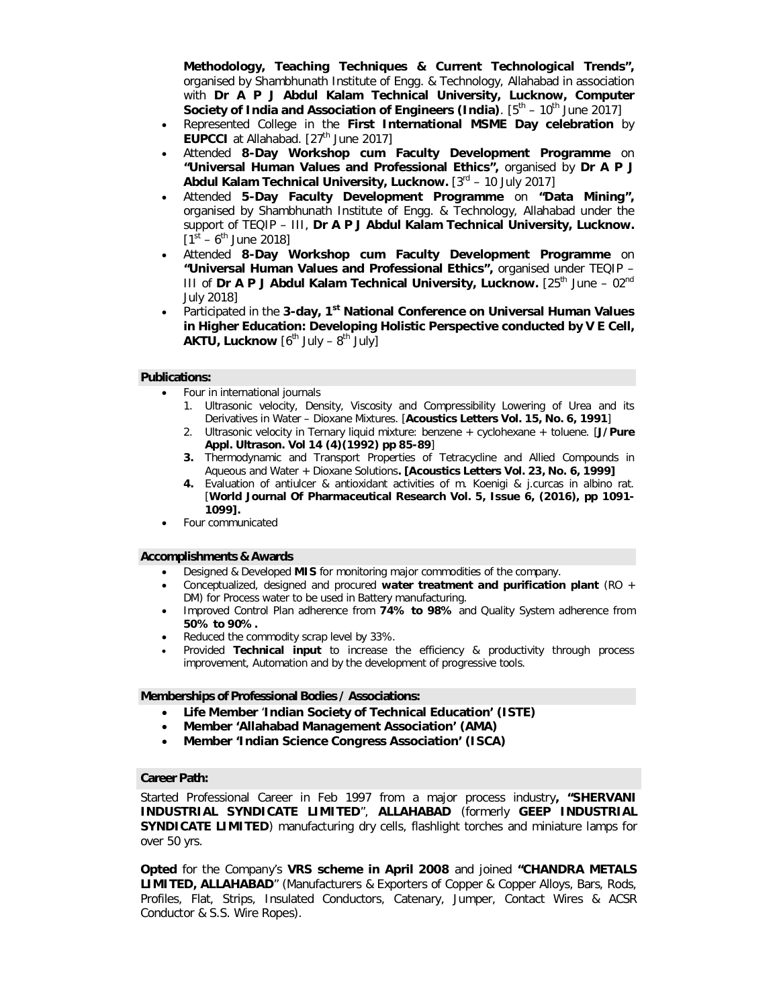**Methodology, Teaching Techniques & Current Technological Trends",** organised by Shambhunath Institute of Engg. & Technology, Allahabad in association with **Dr A P J Abdul Kalam Technical University, Lucknow, Computer Society of India and Association of Engineers (India)**. [5<sup>th</sup> – 10<sup>th</sup> June 2017]

- Represented College in the **First International MSME Day celebration** by **EUPCCI** at Allahabad. [27<sup>th</sup> June 2017]
- Attended **8-Day Workshop cum Faculty Development Programme** on **"Universal Human Values and Professional Ethics",** organised by **Dr A P J Abdul Kalam Technical University, Lucknow.** [3<sup>rd</sup> - 10 July 2017]
- Attended **5-Day Faculty Development Programme** on **"Data Mining",** organised by Shambhunath Institute of Engg. & Technology, Allahabad under the support of TEQIP – III, **Dr A P J Abdul Kalam Technical University, Lucknow.**   $[1<sup>st</sup> - 6<sup>th</sup>$  June 2018]
- Attended **8-Day Workshop cum Faculty Development Programme** on **"Universal Human Values and Professional Ethics",** organised under TEQIP – III of **Dr A P J Abdul Kalam Technical University, Lucknow.** [25<sup>th</sup> June – 02<sup>nd</sup> July 2018]
- Participated in the 3-day, 1<sup>st</sup> National Conference on Universal Human Values **in Higher Education: Developing Holistic Perspective conducted by V E Cell, AKTU, Lucknow**  $[6^{\text{th}}$  July –  $8^{\text{th}}$  July]

### **Publications:**

- Four in international journals
	- 1. Ultrasonic velocity, Density, Viscosity and Compressibility Lowering of Urea and its Derivatives in Water – Dioxane Mixtures. [**Acoustics Letters Vol. 15, No. 6, 1991**]
	- 2. Ultrasonic velocity in Ternary liquid mixture: benzene + cyclohexane + toluene. [**J/Pure Appl. Ultrason. Vol 14 (4)(1992) pp 85-89**]
	- **3.** Thermodynamic and Transport Properties of Tetracycline and Allied Compounds in Aqueous and Water + Dioxane Solutions**. [Acoustics Letters Vol. 23, No. 6, 1999]**
	- **4.** Evaluation of antiulcer & antioxidant activities of m. Koenigi & j.curcas in albino rat. [**World Journal Of Pharmaceutical Research Vol. 5, Issue 6, (2016), pp 1091- 1099].**
- Four communicated

#### **Accomplishments & Awards**

- Designed & Developed **MIS** for monitoring major commodities of the company.
- Conceptualized, designed and procured **water treatment and purification plant** (RO + DM) for Process water to be used in Battery manufacturing.
- Improved Control Plan adherence from **74% to 98%** and Quality System adherence from **50% to 90%.**
- Reduced the commodity scrap level by 33%.
- Provided **Technical input** to increase the efficiency & productivity through process improvement, Automation and by the development of progressive tools.

### **Memberships of Professional Bodies / Associations:**

- **Life Member** '**Indian Society of Technical Education' (ISTE)**
- **Member 'Allahabad Management Association' (AMA)**
- **Member 'Indian Science Congress Association' (ISCA)**

#### **Career Path:**

Started Professional Career in Feb 1997 from a major process industry**, "SHERVANI INDUSTRIAL SYNDICATE LIMITED**", **ALLAHABAD** (formerly **GEEP INDUSTRIAL SYNDICATE LIMITED**) manufacturing dry cells, flashlight torches and miniature lamps for over 50 yrs.

**Opted** for the Company's **VRS scheme in April 2008** and joined **"CHANDRA METALS LIMITED, ALLAHABAD**" (Manufacturers & Exporters of Copper & Copper Alloys, Bars, Rods, Profiles, Flat, Strips, Insulated Conductors, Catenary, Jumper, Contact Wires & ACSR Conductor & S.S. Wire Ropes).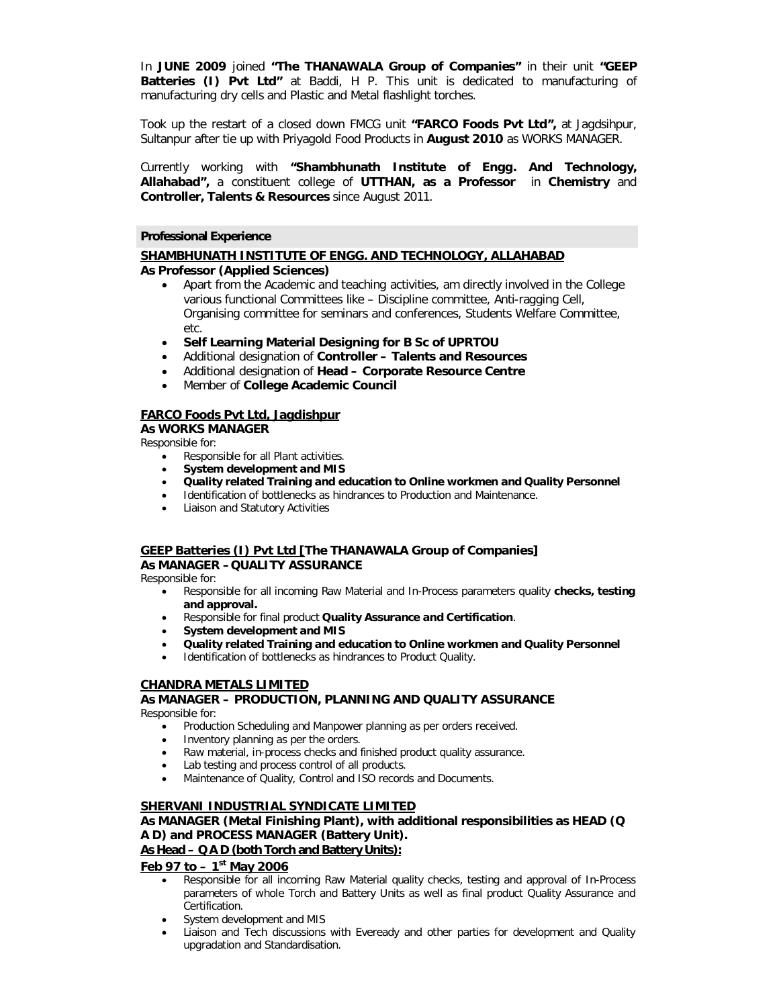In **JUNE 2009** joined **"The THANAWALA Group of Companies"** in their unit **"GEEP Batteries (I) Pvt Ltd"** at Baddi, H P. This unit is dedicated to manufacturing of manufacturing dry cells and Plastic and Metal flashlight torches.

Took up the restart of a closed down FMCG unit **"FARCO Foods Pvt Ltd",** at Jagdsihpur, Sultanpur after tie up with Priyagold Food Products in **August 2010** as WORKS MANAGER.

Currently working with **"Shambhunath Institute of Engg. And Technology, Allahabad",** a constituent college of **UTTHAN, as a Professor** in **Chemistry** and **Controller, Talents & Resources** since August 2011.

### **Professional Experience**

### **SHAMBHUNATH INSTITUTE OF ENGG. AND TECHNOLOGY, ALLAHABAD As Professor (Applied Sciences)**

- Apart from the Academic and teaching activities, am directly involved in the College various functional Committees like – Discipline committee, Anti-ragging Cell, Organising committee for seminars and conferences, Students Welfare Committee, etc.
- **Self Learning Material Designing for B Sc of UPRTOU**
- Additional designation of **Controller – Talents and Resources**
- Additional designation of **Head – Corporate Resource Centre**
- Member of **College Academic Council**

## **FARCO Foods Pvt Ltd, Jagdishpur**

**As WORKS MANAGER**

Responsible for:

- Responsible for all Plant activities.
- **System development and MIS**
- **Quality related Training and education to Online workmen and Quality Personnel**
- Identification of bottlenecks as hindrances to Production and Maintenance.
- Liaison and Statutory Activities

## **GEEP Batteries (I) Pvt Ltd [The THANAWALA Group of Companies] As MANAGER –QUALITY ASSURANCE**

Responsible for:

- Responsible for all incoming Raw Material and In-Process parameters quality **checks, testing and approval.**
- Responsible for final product **Quality Assurance and Certification**.
- **System development and MIS**
- **Quality related Training and education to Online workmen and Quality Personnel**
- Identification of bottlenecks as hindrances to Product Quality.

## **CHANDRA METALS LIMITED**

**As MANAGER – PRODUCTION, PLANNING AND QUALITY ASSURANCE** Responsible for:

- Production Scheduling and Manpower planning as per orders received.
- Inventory planning as per the orders.
- Raw material, in-process checks and finished product quality assurance.
- Lab testing and process control of all products.
- Maintenance of Quality, Control and ISO records and Documents.

## **SHERVANI INDUSTRIAL SYNDICATE LIMITED**

### **As MANAGER (Metal Finishing Plant), with additional responsibilities as HEAD (Q A D) and PROCESS MANAGER (Battery Unit). As Head – Q A D (both Torch and Battery Units):**

**Feb 97 to – 1 st May 2006**

- Responsible for all incoming Raw Material quality checks, testing and approval of In-Process parameters of whole Torch and Battery Units as well as final product Quality Assurance and Certification.
- System development and MIS
- Liaison and Tech discussions with Eveready and other parties for development and Quality upgradation and Standardisation.